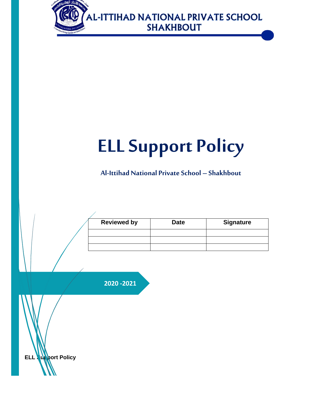

# **ELL Support Policy**

# **Al-Ittihad National PrivateSchool – Shakhbout**

| <b>Reviewed by</b> | <b>Date</b> | <b>Signature</b> |
|--------------------|-------------|------------------|
|                    |             |                  |
|                    |             |                  |
|                    |             |                  |

**2020 -2021**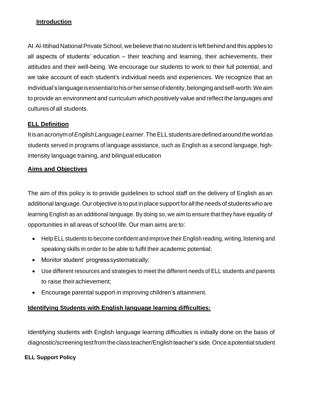#### **Introduction**

At Al-Ittihad National Private School, we believe that no student is left behind and this applies to all aspects of students' education – their teaching and learning, their achievements, their attitudes and their well-being. We encourage our students to work to their full potential, and we take account of each student's individual needs and experiences. We recognize that an individual's languageisessentialtohisorhersenseofidentity,belongingandself-worth.Weaim to provide an environment and curriculum which positively value and reflect the languages and cultures of all students.

### **ELL Definition**

Itisanacronymof*EnglishLanguageLearner*.TheELLstudentsaredefinedaroundtheworldas students served in programs of language assistance, such as English as a second language, highintensity language training, and bilingual education

#### **Aims and Objectives**

The aim of this policy is to provide guidelines to school staff on the delivery of English as an additional language.Our objective is to put in place support forallthe needs of students who are learning English as an additional language. By doing so, we aim to ensure that they have equality of opportunities in all areas of school life. Our main aims are to:

- Help ELL students to become confident and improve their English reading, writing, listening and speaking skills in order to be able to fulfil their academic potential;
- Monitor student' progresssystematically;
- Use different resources and strategies to meet the different needs of ELL students and parents to raise theirachievement;
- Encourage parental support in improving children's attainment.

#### **Identifying Students with English language learning difficulties:**

Identifying students with English language learning difficulties is initially done on the basis of diagnostic/screening test from the class teacher/English teacher's side. Once a potential student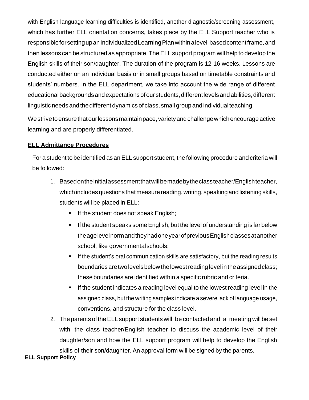with English language learning difficulties is identified, another diagnostic/screening assessment, which has further ELL orientation concerns, takes place by the ELL Support teacher who is responsible for setting up an Individualized Learning Plan within a level-based content frame, and then lessons can be structured as appropriate. TheELL support program will help to develop the English skills of their son/daughter. The duration of the program is 12-16 weeks. Lessons are conducted either on an individual basis or in small groups based on timetable constraints and students' numbers. In the ELL department, we take into account the wide range of different educational backgrounds and expectations of our students, different levels and abilities, different linguistic needs and the different dynamics of class, small group and individual teaching.

We strive to ensure that our lessons maintain pace, variety and challenge which encourage active learning and are properly differentiated.

#### **ELL Admittance Procedures**

For a student to be identified as an ELL support student, the following procedure and criteria will be followed:

- 1. Basedontheinitialassessmentthatwillbemadebytheclassteacher/Englishteacher, which includes questions that measure reading, writing, speaking and listening skills, students will be placed in ELL:
	- If the student does not speak English;
	- If the student speaks some English, but the level of understanding is far below theagelevelnormandtheyhadoneyearofpreviousEnglishclassesatanother school, like governmentalschools;
	- **E** If the student's oral communication skills are satisfactory, but the reading results boundaries are two levels below the lowest reading level in the assigned class; these boundaries are identified within a specific rubric and criteria.
	- **EXECT** If the student indicates a reading level equal to the lowest reading level in the assigned class, but the writing samples indicate a severe lack of language usage, conventions, and structure for the class level.
- 2. The parents of the ELL support students will be contacted and a meeting will be set with the class teacher/English teacher to discuss the academic level of their daughter/son and how the ELL support program will help to develop the English skills of their son/daughter. An approval form will be signed by the parents.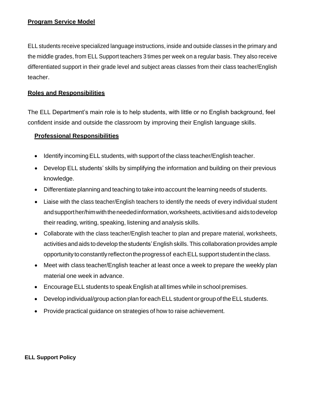#### **Program Service Model**

ELL students receive specialized language instructions, inside and outside classes in the primary and the middle grades, from ELL Support teachers 3 times per week on a regular basis. They also receive differentiated support in their grade level and subject areas classes from their class teacher/English teacher.

#### **Roles and Responsibilities**

The ELL Department's main role is to help students, with little or no English background, feel confident inside and outside the classroom by improving their English language skills.

#### **Professional Responsibilities**

- Identify incoming ELL students, with support of the class teacher/English teacher.
- Develop ELL students' skills by simplifying the information and building on their previous knowledge.
- Differentiate planning and teaching to take into account the learning needs of students.
- Liaise with the class teacher/English teachers to identify the needs of every individual student andsupporther/himwiththeneededinformation,worksheets,activitiesand aidstodevelop their reading, writing, speaking, listening and analysis skills.
- Collaborate with the class teacher/English teacher to plan and prepare material, worksheets, activities andaids todevelop the students'English skills.This collaboration providesample opportunity to constantly reflect on the progress of each ELL support student in the class.
- Meet with class teacher/English teacher at least once a week to prepare the weekly plan material one week in advance.
- Encourage ELL students to speak English at all times while in school premises.
- Develop individual/group action plan for each ELL student or group of the ELL students.
- Provide practical guidance on strategies of how to raise achievement.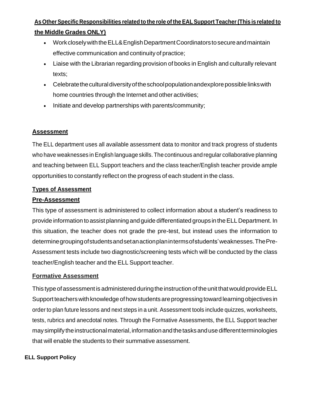## **As OtherSpecific Responsibilities related to the role of the EALSupport Teacher(This is related to the Middle Grades ONLY)**

- Work closely with the ELL& English Department Coordinators to secure and maintain effective communication and continuity of practice;
- Liaise with the Librarian regarding provision of books in English and culturally relevant texts;
- Celebrate the cultural diversity of the school population andexplore possible links with home countries through the Internet and other activities;
- Initiate and develop partnerships with parents/community;

### **Assessment**

The ELL department uses all available assessment data to monitor and track progress of students who have weaknesses in English language skills. The continuous and regular collaborative planning and teaching between ELL Support teachers and the class teacher/English teacher provide ample opportunities to constantly reflect on the progress of each student in the class.

#### **Types of Assessment**

#### **Pre-Assessment**

This type of assessment is administered to collect information about a student's readiness to provide information to assist planning and guide differentiated groups in the ELL Department. In this situation, the teacher does not grade the pre-test, but instead uses the information to determinegroupingofstudentsandsetanactionplanintermsofstudents'weaknesses.ThePre-Assessment tests include two diagnostic/screening tests which will be conducted by the class teacher/English teacher and the ELL Support teacher.

#### **Formative Assessment**

This type of assessment is administered during the instruction of the unit that would provide ELL Support teachers with knowledge of how students are progressing toward learning objectives in order to plan future lessons and next steps in a unit. Assessment tools include quizzes, worksheets, tests, rubrics and anecdotal notes. Through the Formative Assessments, the ELL Support teacher may simplify the instructional material, information and the tasks and use different terminologies that will enable the students to their summative assessment.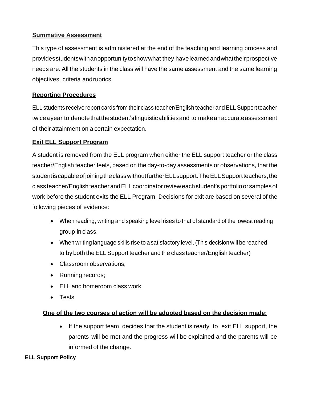### **Summative Assessment**

This type of assessment is administered at the end of the teaching and learning process and providesstudentswithanopportunitytoshowwhat they havelearnedandwhattheirprospective needs are. All the students in the class will have the same assessment and the same learning objectives, criteria andrubrics.

#### **Reporting Procedures**

ELL students receive report cards from their class teacher/English teacher and ELL Support teacher twiceayear to denote that the student's linguisticabilities and to make anaccurate assessment of their attainment on a certain expectation.

#### **Exit ELL Support Program**

A student is removed from the ELL program when either the ELL support teacher or the class teacher/English teacher feels, based on the day-to-day assessments or observations, that the studentiscapableofjoiningtheclasswithoutfurtherELLsupport.TheELLSupportteachers,the classteacher/EnglishteacherandELLcoordinatorrevieweachstudent'sportfolioorsamplesof work before the student exits the ELL Program. Decisions for exit are based on several of the following pieces of evidence:

- When reading, writing and speaking level rises to that of standard of the lowest reading group in class.
- When writing language skills rise to a satisfactory level. (This decision will be reached to by both the ELLSupport teacher and the class teacher/English teacher)
- Classroom observations:
- Running records;
- ELL and homeroom class work;
- Tests

#### **One of the two courses of action will be adopted based on the decision made:**

• If the support team decides that the student is ready to exit ELL support, the parents will be met and the progress will be explained and the parents will be informed of the change.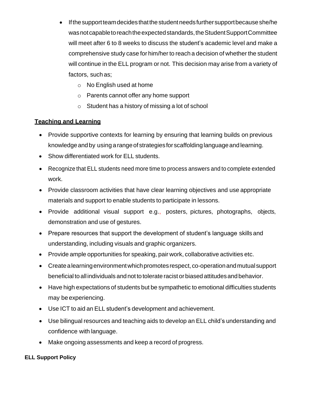- If the support team decides that the student needs further support because she/he was not capable to reach the expected standards, the Student Support Committee will meet after 6 to 8 weeks to discuss the student's academic level and make a comprehensive study case for him/her to reach a decision of whether the student will continue in the ELL program or not. This decision may arise from a variety of factors, such as;
	- o No English used at home
	- o Parents cannot offer any home support
	- o Student has a history of missing a lot of school

## **Teaching and Learning**

- Provide supportive contexts for learning by ensuring that learning builds on previous knowledge and by using a range of strategies for scaffolding language and learning.
- Show differentiated work for ELL students.
- Recognize that ELL students need more time to process answers and to complete extended work.
- Provide classroom activities that have clear learning objectives and use appropriate materials and support to enable students to participate in lessons.
- Provide additional visual support e.g., posters, pictures, photographs, objects, demonstration and use of gestures.
- Prepare resources that support the development of student's language skills and understanding, including visuals and graphic organizers.
- Provide ample opportunities for speaking, pair work, collaborative activities etc.
- Create a learning environment which promotes respect, co-operation and mutual support beneficial to all individuals and not to tolerate racist or biased attitudes and behavior.
- Have high expectations of students but be sympathetic to emotional difficulties students may be experiencing.
- Use ICT to aid an ELL student's development and achievement.
- Use bilingual resources and teaching aids to develop an ELL child's understanding and confidence with language.
- Make ongoing assessments and keep a record of progress.